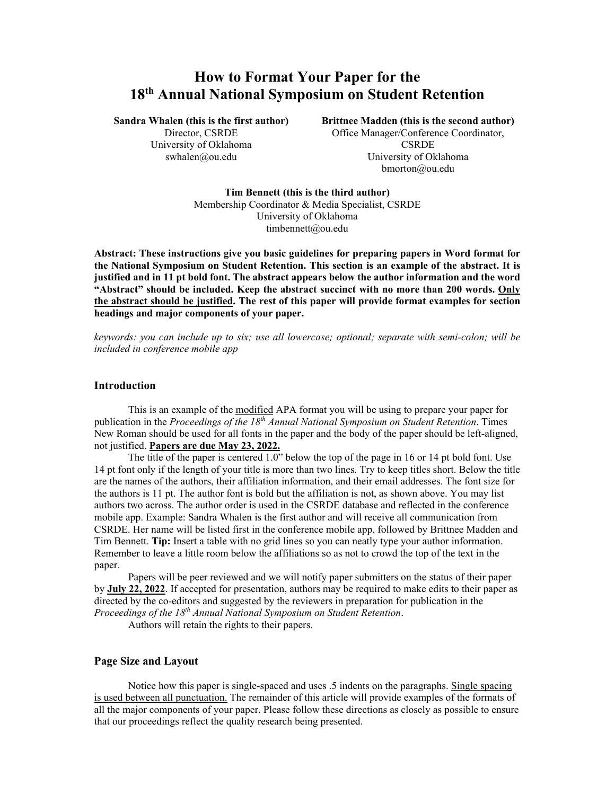# **How to Format Your Paper for the 18th Annual National Symposium on Student Retention**

**Sandra Whalen (this is the first author)** 

Director, CSRDE University of Oklahoma swhalen@ou.edu

**Brittnee Madden (this is the second author)**  Office Manager/Conference Coordinator, **CSRDE** University of Oklahoma bmorton@ou.edu

**Tim Bennett (this is the third author)** Membership Coordinator & Media Specialist, CSRDE University of Oklahoma timbennett@ou.edu

**Abstract: These instructions give you basic guidelines for preparing papers in Word format for the National Symposium on Student Retention. This section is an example of the abstract. It is justified and in 11 pt bold font. The abstract appears below the author information and the word "Abstract" should be included. Keep the abstract succinct with no more than 200 words. Only the abstract should be justified. The rest of this paper will provide format examples for section headings and major components of your paper.** 

*keywords: you can include up to six; use all lowercase; optional; separate with semi-colon; will be included in conference mobile app* 

## **Introduction**

This is an example of the modified APA format you will be using to prepare your paper for publication in the *Proceedings of the 18th Annual National Symposium on Student Retention*. Times New Roman should be used for all fonts in the paper and the body of the paper should be left-aligned, not justified. **Papers are due May 23, 2022.**

The title of the paper is centered 1.0" below the top of the page in 16 or 14 pt bold font. Use 14 pt font only if the length of your title is more than two lines. Try to keep titles short. Below the title are the names of the authors, their affiliation information, and their email addresses. The font size for the authors is 11 pt. The author font is bold but the affiliation is not, as shown above. You may list authors two across. The author order is used in the CSRDE database and reflected in the conference mobile app. Example: Sandra Whalen is the first author and will receive all communication from CSRDE. Her name will be listed first in the conference mobile app, followed by Brittnee Madden and Tim Bennett. **Tip:** Insert a table with no grid lines so you can neatly type your author information. Remember to leave a little room below the affiliations so as not to crowd the top of the text in the paper.

Papers will be peer reviewed and we will notify paper submitters on the status of their paper by **July 22, 2022**. If accepted for presentation, authors may be required to make edits to their paper as directed by the co-editors and suggested by the reviewers in preparation for publication in the *Proceedings of the 18th Annual National Symposium on Student Retention*.

Authors will retain the rights to their papers.

## **Page Size and Layout**

Notice how this paper is single-spaced and uses .5 indents on the paragraphs. Single spacing is used between all punctuation. The remainder of this article will provide examples of the formats of all the major components of your paper. Please follow these directions as closely as possible to ensure that our proceedings reflect the quality research being presented.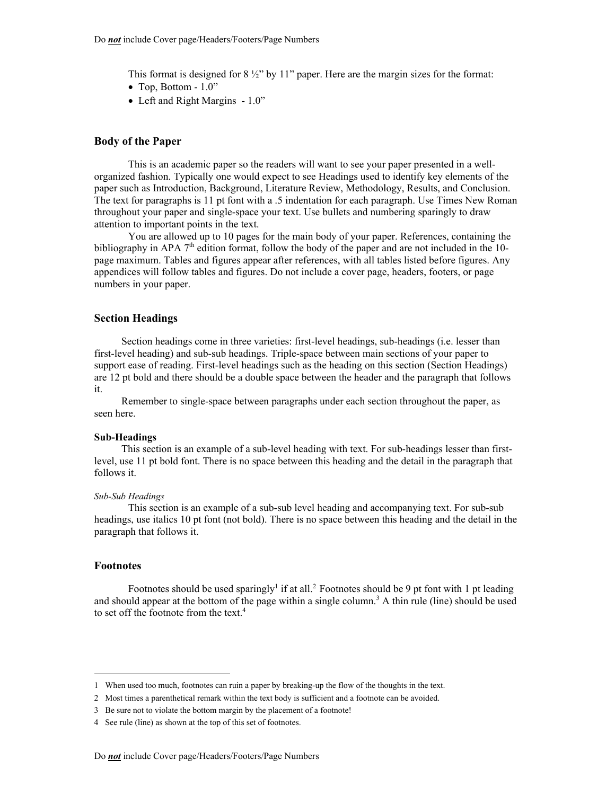This format is designed for  $8\frac{1}{2}$ " by 11" paper. Here are the margin sizes for the format:

- $\bullet$  Top, Bottom 1.0"
- Left and Right Margins 1.0"

#### **Body of the Paper**

This is an academic paper so the readers will want to see your paper presented in a wellorganized fashion. Typically one would expect to see Headings used to identify key elements of the paper such as Introduction, Background, Literature Review, Methodology, Results, and Conclusion. The text for paragraphs is 11 pt font with a .5 indentation for each paragraph. Use Times New Roman throughout your paper and single-space your text. Use bullets and numbering sparingly to draw attention to important points in the text.

You are allowed up to 10 pages for the main body of your paper. References, containing the bibliography in APA  $7<sup>th</sup>$  edition format, follow the body of the paper and are not included in the 10page maximum. Tables and figures appear after references, with all tables listed before figures. Any appendices will follow tables and figures. Do not include a cover page, headers, footers, or page numbers in your paper.

#### **Section Headings**

Section headings come in three varieties: first-level headings, sub-headings (i.e. lesser than first-level heading) and sub-sub headings. Triple-space between main sections of your paper to support ease of reading. First-level headings such as the heading on this section (Section Headings) are 12 pt bold and there should be a double space between the header and the paragraph that follows it.

Remember to single-space between paragraphs under each section throughout the paper, as seen here.

#### **Sub-Headings**

This section is an example of a sub-level heading with text. For sub-headings lesser than firstlevel, use 11 pt bold font. There is no space between this heading and the detail in the paragraph that follows it.

### *Sub-Sub Headings*

This section is an example of a sub-sub level heading and accompanying text. For sub-sub headings, use italics 10 pt font (not bold). There is no space between this heading and the detail in the paragraph that follows it.

#### **Footnotes**

Footnotes should be used sparingly<sup>1</sup> if at all.<sup>2</sup> Footnotes should be 9 pt font with 1 pt leading and should appear at the bottom of the page within a single column.<sup>3</sup> A thin rule (line) should be used to set off the footnote from the text.<sup>4</sup>

3 Be sure not to violate the bottom margin by the placement of a footnote!

<sup>1</sup> When used too much, footnotes can ruin a paper by breaking-up the flow of the thoughts in the text.

<sup>2</sup> Most times a parenthetical remark within the text body is sufficient and a footnote can be avoided.

<sup>4</sup> See rule (line) as shown at the top of this set of footnotes.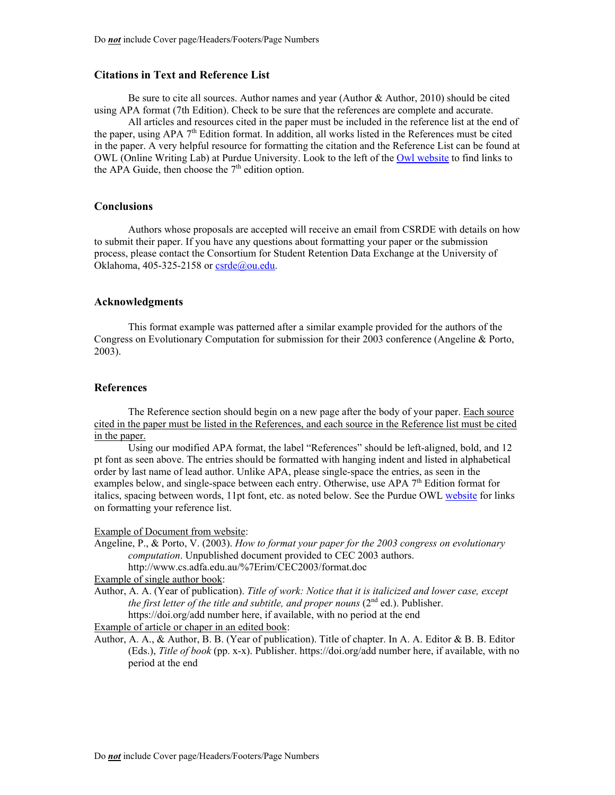## **Citations in Text and Reference List**

Be sure to cite all sources. Author names and year (Author & Author, 2010) should be cited using APA format (7th Edition). Check to be sure that the references are complete and accurate.

All articles and resources cited in the paper must be included in the reference list at the end of the paper, using APA  $7<sup>th</sup>$  Edition format. In addition, all works listed in the References must be cited in the paper. A very helpful resource for formatting the citation and the Reference List can be found at OWL (Online Writing Lab) at Purdue University. Look to the left of the [Owl website](https://owl.purdue.edu/owl/purdue_owl.html) to find links to the APA Guide, then choose the  $7<sup>th</sup>$  edition option.

### **Conclusions**

Authors whose proposals are accepted will receive an email from CSRDE with details on how to submit their paper. If you have any questions about formatting your paper or the submission process, please contact the Consortium for Student Retention Data Exchange at the University of Oklahoma, 405-325-2158 or  $csrde@ou.edu$ .

#### **Acknowledgments**

This format example was patterned after a similar example provided for the authors of the Congress on Evolutionary Computation for submission for their 2003 conference (Angeline & Porto, 2003).

# **References**

The Reference section should begin on a new page after the body of your paper. Each source cited in the paper must be listed in the References, and each source in the Reference list must be cited in the paper.

Using our modified APA format, the label "References" should be left-aligned, bold, and 12 pt font as seen above. The entries should be formatted with hanging indent and listed in alphabetical order by last name of lead author. Unlike APA, please single-space the entries, as seen in the examples below, and single-space between each entry. Otherwise, use APA  $7<sup>th</sup>$  Edition format for italics, spacing between words, 11pt font, etc. as noted below. See the Purdue OWL [website](https://owl.purdue.edu/owl/research_and_citation/apa_style/apa_formatting_and_style_guide/general_format.html) for links on formatting your reference list.

### Example of Document from website:

Angeline, P., & Porto, V. (2003). *How to format your paper for the 2003 congress on evolutionary computation*. Unpublished document provided to CEC 2003 authors. http://www.cs.adfa.edu.au/%7Erim/CEC2003/format.doc

Example of single author book:

Author, A. A. (Year of publication). *Title of work: Notice that it is italicized and lower case, except the first letter of the title and subtitle, and proper nouns*  $(2<sup>nd</sup> ed.)$ . Publisher. https://doi.org/add number here, if available, with no period at the end

Example of article or chaper in an edited book:

Author, A. A., & Author, B. B. (Year of publication). Title of chapter. In A. A. Editor & B. B. Editor (Eds.), *Title of book* (pp. x-x). Publisher. https://doi.org/add number here, if available, with no period at the end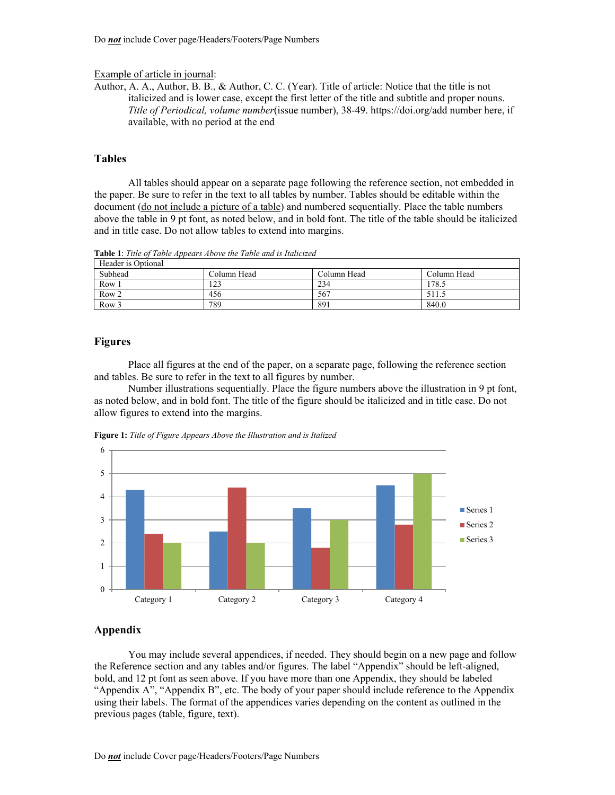#### Example of article in journal:

Author, A. A., Author, B. B., & Author, C. C. (Year). Title of article: Notice that the title is not italicized and is lower case, except the first letter of the title and subtitle and proper nouns. *Title of Periodical, volume number*(issue number), 38-49. https://doi.org/add number here, if available, with no period at the end

## **Tables**

All tables should appear on a separate page following the reference section, not embedded in the paper. Be sure to refer in the text to all tables by number. Tables should be editable within the document (do not include a picture of a table) and numbered sequentially. Place the table numbers above the table in 9 pt font, as noted below, and in bold font. The title of the table should be italicized and in title case. Do not allow tables to extend into margins.

Table 1: Title of Table Appears Above the Table and is Italicized

| Header is Optional |             |             |             |
|--------------------|-------------|-------------|-------------|
| Subhead            | Column Head | Column Head | Column Head |
| Row 1              | 1 7 2       | 234         | 178.5       |
| Row <sub>2</sub>   | 456         | 567         | 511.5       |
| Row <sub>3</sub>   | 789         | 891         | 840.0       |

# **Figures**

Place all figures at the end of the paper, on a separate page, following the reference section and tables. Be sure to refer in the text to all figures by number.

Number illustrations sequentially. Place the figure numbers above the illustration in 9 pt font, as noted below, and in bold font. The title of the figure should be italicized and in title case. Do not allow figures to extend into the margins.





# **Appendix**

 You may include several appendices, if needed. They should begin on a new page and follow the Reference section and any tables and/or figures. The label "Appendix" should be left-aligned, bold, and 12 pt font as seen above. If you have more than one Appendix, they should be labeled "Appendix A", "Appendix B", etc. The body of your paper should include reference to the Appendix using their labels. The format of the appendices varies depending on the content as outlined in the previous pages (table, figure, text).